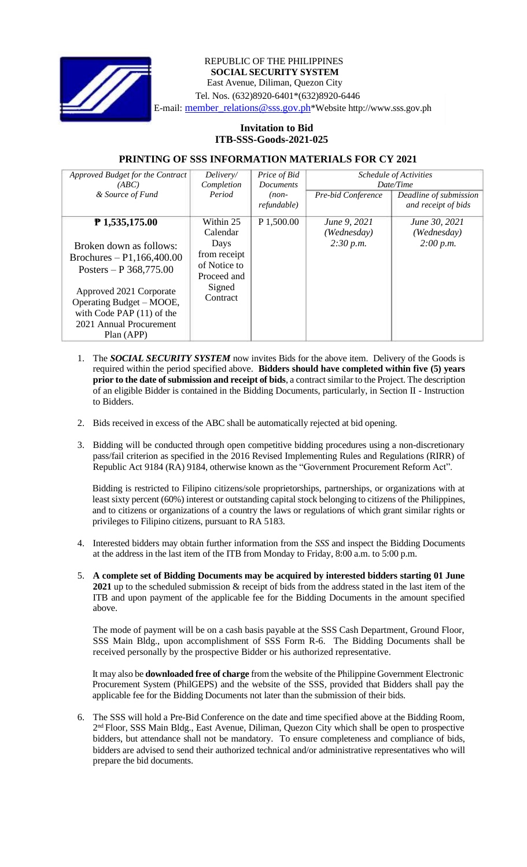

## REPUBLIC OF THE PHILIPPINES **SOCIAL SECURITY SYSTEM** East Avenue, Diliman, Quezon City Tel. Nos. (632)8920-6401\*(632)8920-6446 E-mail: member\_relations@sss.gov.ph\*Website http://www.sss.gov.ph

## **Invitation to Bid ITB-SSS-Goods-2021-025**

## **PRINTING OF SSS INFORMATION MATERIALS FOR CY 2021**

| Approved Budget for the Contract<br>(ABC)                                                                                                                                                                                           | Delivery/<br>Completion                                                                            | Price of Bid<br><b>Documents</b> | Schedule of Activities<br>Date/Time      |                                               |
|-------------------------------------------------------------------------------------------------------------------------------------------------------------------------------------------------------------------------------------|----------------------------------------------------------------------------------------------------|----------------------------------|------------------------------------------|-----------------------------------------------|
| & Source of Fund                                                                                                                                                                                                                    | Period                                                                                             | $(non-$<br>refundable)           | Pre-bid Conference                       | Deadline of submission<br>and receipt of bids |
| $P$ 1,535,175.00<br>Broken down as follows:<br>Brochures – P1,166,400.00<br>Posters – P $368,775.00$<br>Approved 2021 Corporate<br>Operating Budget – MOOE,<br>with Code PAP $(11)$ of the<br>2021 Annual Procurement<br>Plan (APP) | Within 25<br>Calendar<br>Days<br>from receipt<br>of Notice to<br>Proceed and<br>Signed<br>Contract | P 1,500.00                       | June 9, 2021<br>(Wednesday)<br>2:30 p.m. | June 30, 2021<br>(Wednesday)<br>2:00 p.m.     |

- 1. The *SOCIAL SECURITY SYSTEM* now invites Bids for the above item. Delivery of the Goods is required within the period specified above. **Bidders should have completed within five (5) years prior** to the date of submission and receipt of bids, a contract similar to the Project. The description of an eligible Bidder is contained in the Bidding Documents, particularly, in Section II - Instruction to Bidders.
- 2. Bids received in excess of the ABC shall be automatically rejected at bid opening.
- 3. Bidding will be conducted through open competitive bidding procedures using a non-discretionary pass/fail criterion as specified in the 2016 Revised Implementing Rules and Regulations (RIRR) of Republic Act 9184 (RA) 9184, otherwise known as the "Government Procurement Reform Act".

Bidding is restricted to Filipino citizens/sole proprietorships, partnerships, or organizations with at least sixty percent (60%) interest or outstanding capital stock belonging to citizens of the Philippines, and to citizens or organizations of a country the laws or regulations of which grant similar rights or privileges to Filipino citizens, pursuant to RA 5183.

- 4. Interested bidders may obtain further information from the *SSS* and inspect the Bidding Documents at the address in the last item of the ITB from Monday to Friday, 8:00 a.m. to 5:00 p.m.
- 5. **A complete set of Bidding Documents may be acquired by interested bidders starting 01 June 2021** up to the scheduled submission & receipt of bids from the address stated in the last item of the ITB and upon payment of the applicable fee for the Bidding Documents in the amount specified above.

The mode of payment will be on a cash basis payable at the SSS Cash Department, Ground Floor, SSS Main Bldg., upon accomplishment of SSS Form R-6. The Bidding Documents shall be received personally by the prospective Bidder or his authorized representative.

It may also be **downloaded free of charge** from the website of the Philippine Government Electronic Procurement System (PhilGEPS) and the website of the SSS*,* provided that Bidders shall pay the applicable fee for the Bidding Documents not later than the submission of their bids.

6. The SSS will hold a Pre-Bid Conference on the date and time specified above at the Bidding Room, 2<sup>nd</sup> Floor, SSS Main Bldg., East Avenue, Diliman, Quezon City which shall be open to prospective bidders, but attendance shall not be mandatory. To ensure completeness and compliance of bids, bidders are advised to send their authorized technical and/or administrative representatives who will prepare the bid documents.